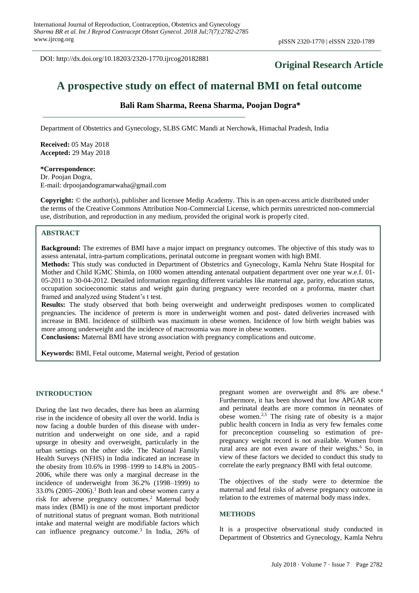DOI: http://dx.doi.org/10.18203/2320-1770.ijrcog20182881

# **Original Research Article**

# **A prospective study on effect of maternal BMI on fetal outcome**

# **Bali Ram Sharma, Reena Sharma, Poojan Dogra\***

Department of Obstetrics and Gynecology, SLBS GMC Mandi at Nerchowk, Himachal Pradesh, India

**Received:** 05 May 2018 **Accepted:** 29 May 2018

**\*Correspondence:** Dr. Poojan Dogra, E-mail: drpoojandogramarwaha@gmail.com

**Copyright:** © the author(s), publisher and licensee Medip Academy. This is an open-access article distributed under the terms of the Creative Commons Attribution Non-Commercial License, which permits unrestricted non-commercial use, distribution, and reproduction in any medium, provided the original work is properly cited.

#### **ABSTRACT**

**Background:** The extremes of BMI have a major impact on pregnancy outcomes. The objective of this study was to assess antenatal, intra-partum complications, perinatal outcome in pregnant women with high BMI.

**Methods:** This study was conducted in Department of Obstetrics and Gynecology, Kamla Nehru State Hospital for Mother and Child IGMC Shimla, on 1000 women attending antenatal outpatient department over one year w.e.f. 01- 05-2011 to 30-04-2012. Detailed information regarding different variables like maternal age, parity, education status, occupation socioeconomic status and weight gain during pregnancy were recorded on a proforma, master chart framed and analyzed using Student's t test.

**Results:** The study observed that both being overweight and underweight predisposes women to complicated pregnancies. The incidence of preterm is more in underweight women and post- dated deliveries increased with increase in BMI. Incidence of stillbirth was maximum in obese women. Incidence of low birth weight babies was more among underweight and the incidence of macrosomia was more in obese women.

**Conclusions:** Maternal BMI have strong association with pregnancy complications and outcome.

**Keywords:** BMI, Fetal outcome, Maternal weight, Period of gestation

#### **INTRODUCTION**

During the last two decades, there has been an alarming rise in the incidence of obesity all over the world. India is now facing a double burden of this disease with undernutrition and underweight on one side, and a rapid upsurge in obesity and overweight, particularly in the urban settings on the other side. The National Family Health Surveys (NFHS) in India indicated an increase in the obesity from 10.6% in 1998–1999 to 14.8% in 2005– 2006, while there was only a marginal decrease in the incidence of underweight from 36.2% (1998–1999) to  $33.0\%$  (2005–2006).<sup>1</sup> Both lean and obese women carry a risk for adverse pregnancy outcomes. <sup>2</sup> Maternal body mass index (BMI) is one of the most important predictor of nutritional status of pregnant woman. Both nutritional intake and maternal weight are modifiable factors which can influence pregnancy outcome.<sup>3</sup> In India,  $26\%$  of pregnant women are overweight and 8% are obese.<sup>4</sup> Furthermore, it has been showed that low APGAR score and perinatal deaths are more common in neonates of obese women.2,5 The rising rate of obesity is a major public health concern in India as very few females come for preconception counseling so estimation of prepregnancy weight record is not available. Women from rural area are not even aware of their weights.<sup>6</sup> So, in view of these factors we decided to conduct this study to correlate the early pregnancy BMI with fetal outcome.

The objectives of the study were to determine the maternal and fetal risks of adverse pregnancy outcome in relation to the extremes of maternal body mass index.

#### **METHODS**

It is a prospective observational study conducted in Department of Obstetrics and Gynecology, Kamla Nehru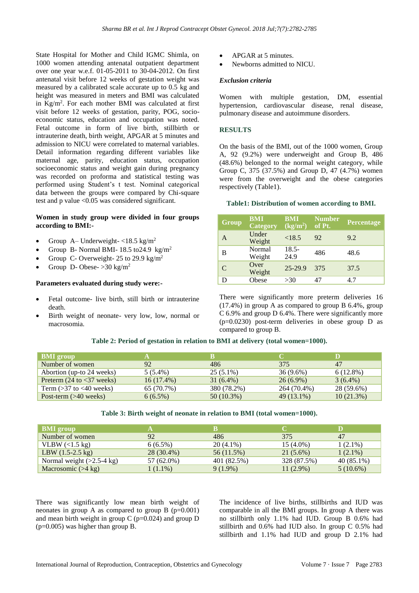State Hospital for Mother and Child IGMC Shimla, on 1000 women attending antenatal outpatient department over one year w.e.f. 01-05-2011 to 30-04-2012. On first antenatal visit before 12 weeks of gestation weight was measured by a calibrated scale accurate up to 0.5 kg and height was measured in meters and BMI was calculated in Kg/m<sup>2</sup> . For each mother BMI was calculated at first visit before 12 weeks of gestation, parity, POG, socioeconomic status, education and occupation was noted. Fetal outcome in form of live birth, stillbirth or intrauterine death, birth weight, APGAR at 5 minutes and admission to NICU were correlated to maternal variables. Detail information regarding different variables like maternal age, parity, education status, occupation socioeconomic status and weight gain during pregnancy was recorded on proforma and statistical testing was performed using Student's t test. Nominal categorical data between the groups were compared by Chi-square test and p value <0.05 was considered significant.

# **Women in study group were divided in four groups according to BMI:-**

- Group A– Underweight- $\langle 18.5 \text{ kg/m}^2 \rangle$
- Group B- Normal BMI-  $18.5 \text{ to} 24.9 \text{ kg/m}^2$
- Group C- Overweight- 25 to 29.9 kg/m<sup>2</sup>
- Group D- Obese-  $>30 \text{ kg/m}^2$

#### **Parameters evaluated during study were:-**

- Fetal outcome- live birth, still birth or intrauterine death.
- Birth weight of neonate- very low, low, normal or macrosomia.
- APGAR at 5 minutes.
- Newborns admitted to NICU.

#### *Exclusion criteria*

Women with multiple gestation, DM, essential hypertension, cardiovascular disease, renal disease, pulmonary disease and autoimmune disorders.

#### **RESULTS**

On the basis of the BMI, out of the 1000 women, Group A, 92 (9.2%) were underweight and Group B, 486 (48.6%) belonged to the normal weight category, while Group C, 375 (37.5%) and Group D, 47 (4.7%) women were from the overweight and the obese categories respectively (Table1).

## **Table1: Distribution of women according to BMI.**

| Group | <b>BMI</b><br><b>Category</b> | <b>BMI</b><br>(kg/m <sup>2</sup> ) | <b>Number</b><br>of Pt. | <b>Percentage</b> |
|-------|-------------------------------|------------------------------------|-------------------------|-------------------|
| A     | Under<br>Weight               | <18.5                              | 92                      | 9.2               |
| B     | Normal<br>Weight              | $18.5 -$<br>24.9                   | 486                     | 48.6              |
| C     | Over<br>Weight                | $25-29.9$                          | 375                     | 37.5              |
| D     | Obese                         | >30                                | 47                      | 4.7               |

There were significantly more preterm deliveries 16 (17.4%) in group A as compared to group B 6.4%, group C 6.9% and group D 6.4%. There were significantly more (p=0.0230) post-term deliveries in obese group D as compared to group B.

#### **Table 2: Period of gestation in relation to BMI at delivery (total women=1000).**

| <b>BMI</b> group                              |              | к            |             | D            |
|-----------------------------------------------|--------------|--------------|-------------|--------------|
| Number of women                               | 92           | 486          | 375         | 47           |
| Abortion (up-to 24 weeks)                     | $5(5.4\%)$   | $25(5.1\%)$  | $36(9.6\%)$ | $6(12.8\%)$  |
| Preterm $(24 \text{ to } < 37 \text{ weeks})$ | $16(17.4\%)$ | $31(6.4\%)$  | $26(6.9\%)$ | $3(6.4\%)$   |
| Term $($ >37 to <40 weeks)                    | 65 (70.7%)   | 380 (78.2%)  | 264 (70.4%) | 28 (59.6%)   |
| Post-term $(>40$ weeks)                       | $6(6.5\%)$   | $50(10.3\%)$ | 49 (13.1%)  | $10(21.3\%)$ |

#### **Table 3: Birth weight of neonate in relation to BMI (total women=1000).**

| <b>BMI</b> group                    |            |             | C.          |              |
|-------------------------------------|------------|-------------|-------------|--------------|
| Number of women                     | 92         | 486         | 375         | 47           |
| VLBW $\left($ < 1.5 kg)             | $6(6.5\%)$ | $20(4.1\%)$ | $15(4.0\%)$ | $1(2.1\%)$   |
| LBW $(1.5-2.5 \text{ kg})$          | 28 (30.4%) | 56 (11.5%)  | $21(5.6\%)$ | $1(2.1\%)$   |
| Normal weight $(>2.5-4 \text{ kg})$ | 57 (62.0%) | 401 (82.5%) | 328 (87.5%) | $40(85.1\%)$ |
| Macrosomic $($ >4 kg)               | $1(1.1\%)$ | $9(1.9\%)$  | $11(2.9\%)$ | $5(10.6\%)$  |

There was significantly low mean birth weight of neonates in group A as compared to group B  $(p=0.001)$ and mean birth weight in group  $C$  (p=0.024) and group  $D$ (p=0.005) was higher than group B.

The incidence of live births, stillbirths and IUD was comparable in all the BMI groups. In group A there was no stillbirth only 1.1% had IUD. Group B 0.6% had stillbirth and 0.6% had IUD also. In group C 0.5% had stillbirth and 1.1% had IUD and group D 2.1% had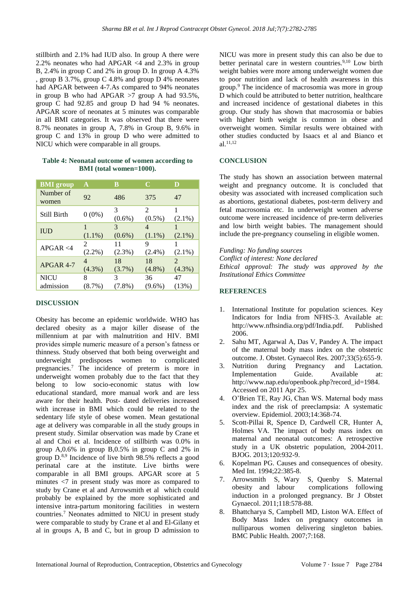stillbirth and 2.1% had IUD also. In group A there were 2.2% neonates who had APGAR <4 and 2.3% in group B, 2.4% in group C and 2% in group D. In group A 4.3% , group B 3.7%, group C 4.8% and group D 4% neonates had APGAR between 4-7.As compared to 94% neonates in group B who had APGAR >7 group A had 93.5%, group C had 92.85 and group D had 94 % neonates. APGAR score of neonates at 5 minutes was comparable in all BMI categories. It was observed that there were 8.7% neonates in group A, 7.8% in Group B, 9.6% in group C and 13% in group D who were admitted to NICU which were comparable in all groups.

# **Table 4: Neonatal outcome of women according to BMI (total women=1000).**

| <b>BMI</b> group   | A         | B              | C                           | D              |
|--------------------|-----------|----------------|-----------------------------|----------------|
| Number of<br>women | 92        | 486            | 375                         | 47             |
| Still Birth        | $0(0\%)$  | 3<br>$(0.6\%)$ | $\mathfrak{D}$<br>$(0.5\%)$ | 1<br>$(2.1\%)$ |
| <b>IUD</b>         | 1         | 3              | 4                           |                |
|                    | $(1.1\%)$ | $(0.6\%)$      | $(1.1\%)$                   | $(2.1\%)$      |
| APGAR < 4          | 2         | 11             | 9                           |                |
|                    | $(2.2\%)$ | $(2.3\%)$      | $(2.4\%)$                   | $(2.1\%)$      |
| APGAR 4-7          | 4         | 18             | 18                          | $\mathfrak{D}$ |
|                    | $(4.3\%)$ | $(3.7\%)$      | $(4.8\%)$                   | $(4.3\%)$      |
| NICU               | 8         | 3              | 36                          | 47             |
| admission          | $(8.7\%)$ | $(7.8\%)$      | $(9.6\%)$                   | (13%)          |

# **DISCUSSION**

Obesity has become an epidemic worldwide. WHO has declared obesity as a major killer disease of the millennium at par with malnutrition and HIV. BMI provides simple numeric measure of a person's fatness or thinness. Study observed that both being overweight and underweight predisposes women to complicated pregnancies.<sup>7</sup> The incidence of preterm is more in underweight women probably due to the fact that they belong to low socio-economic status with low educational standard, more manual work and are less aware for their health. Post- dated deliveries increased with increase in BMI which could be related to the sedentary life style of obese women. Mean gestational age at delivery was comparable in all the study groups in present study. Similar observation was made by Crane et al and Choi et al. Incidence of stillbirth was 0.0% in group A,0.6% in group B,0.5% in group C and 2% in group D.8,9 Incidence of live birth 98.5% reflects a good perinatal care at the institute. Live births were comparable in all BMI groups. APGAR score at 5 minutes <7 in present study was more as compared to study by Crane et al and Arrowsmith et al which could probably be explained by the more sophisticated and intensive intra-partum monitoring facilities in western countries.<sup>7</sup> Neonates admitted to NICU in present study were comparable to study by Crane et al and El-Gilany et al in groups A, B and C, but in group D admission to NICU was more in present study this can also be due to better perinatal care in western countries.<sup>9,10</sup> Low birth weight babies were more among underweight women due to poor nutrition and lack of health awareness in this group.<sup>9</sup> The incidence of macrosomia was more in group D which could be attributed to better nutrition, healthcare and increased incidence of gestational diabetes in this group. Our study has shown that macrosomia or babies with higher birth weight is common in obese and overweight women. Similar results were obtained with other studies conducted by Isaacs et al and Bianco et al. 11,12

# **CONCLUSION**

The study has shown an association between maternal weight and pregnancy outcome. It is concluded that obesity was associated with increased complication such as abortions, gestational diabetes, post-term delivery and fetal macrosomia etc. In underweight women adverse outcome were increased incidence of pre-term deliveries and low birth weight babies. The management should include the pre-pregnancy counseling in eligible women.

*Funding: No funding sources Conflict of interest: None declared Ethical approval: The study was approved by the Institutional Ethics Committee*

# **REFERENCES**

- 1. International Institute for population sciences. Key Indicators for India from NFHS-3. Available at: http://www.nfhsindia.org/pdf/India.pdf. Published 2006.
- 2. Sahu MT, Agarwal A, Das V, Pandey A. The impact of the maternal body mass index on the obstetric outcome. J. Obstet. Gynaecol Res. 2007;33(5):655-9.
- 3. Nutrition during Pregnancy and Lactation. Implementation Guide. Available at: http://www.nap.edu/openbook.php?record\_id=1984. Accessed on 2011 Apr 25.
- 4. O'Brien TE, Ray JG, Chan WS. Maternal body mass index and the risk of preeclampsia: A systematic overview. Epidemiol. 2003;14:368-74.
- 5. Scott-Pillai R, Spence D, Cardwell CR, Hunter A, Holmes VA. The impact of body mass index on maternal and neonatal outcomes: A retrospective study in a UK obstetric population, 2004-2011. BJOG. 2013;120:932-9.
- 6. Kopelman PG. Causes and consequences of obesity. Med Int. 1994;22:385-8.
- 7. Arrowsmith S, Wary S, Quenby S. Maternal obesity and labour complications following induction in a prolonged pregnancy. Br J Obstet Gynaecol. 2011;118:578-88.
- 8. Bhattcharya S, Campbell MD, Liston WA. Effect of Body Mass Index on pregnancy outcomes in nulliparous women delivering singleton babies. BMC Public Health. 2007;7:168.